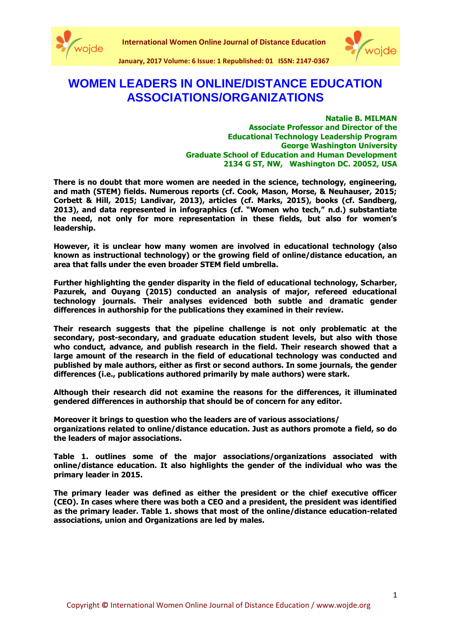



**January, 2017 Volume: 6 Issue: 1 Republished: 01 ISSN: 2147-0367**

## **WOMEN LEADERS IN ONLINE/DISTANCE EDUCATION ASSOCIATIONS/ORGANIZATIONS**

**Natalie B. MILMAN Associate Professor and Director of the Educational Technology Leadership Program George Washington University Graduate School of Education and Human Development 2134 G ST, NW, Washington DC. 20052, USA**

**There is no doubt that more women are needed in the science, technology, engineering, and math (STEM) fields. Numerous reports (cf. Cook, Mason, Morse, & Neuhauser, 2015; Corbett & Hill, 2015; Landivar, 2013), articles (cf. Marks, 2015), books (cf. Sandberg, 2013), and data represented in infographics (cf. "Women who tech," n.d.) substantiate the need, not only for more representation in these fields, but also for women's leadership.** 

**However, it is unclear how many women are involved in educational technology (also known as instructional technology) or the growing field of online/distance education, an area that falls under the even broader STEM field umbrella.** 

**Further highlighting the gender disparity in the field of educational technology, Scharber, Pazurek, and Ouyang (2015) conducted an analysis of major, refereed educational technology journals. Their analyses evidenced both subtle and dramatic gender differences in authorship for the publications they examined in their review.** 

**Their research suggests that the pipeline challenge is not only problematic at the secondary, post-secondary, and graduate education student levels, but also with those who conduct, advance, and publish research in the field. Their research showed that a large amount of the research in the field of educational technology was conducted and published by male authors, either as first or second authors. In some journals, the gender differences (i.e., publications authored primarily by male authors) were stark.** 

**Although their research did not examine the reasons for the differences, it illuminated gendered differences in authorship that should be of concern for any editor.** 

**Moreover it brings to question who the leaders are of various associations/ organizations related to online/distance education. Just as authors promote a field, so do the leaders of major associations.**

**Table 1. outlines some of the major associations/organizations associated with online/distance education. It also highlights the gender of the individual who was the primary leader in 2015.** 

**The primary leader was defined as either the president or the chief executive officer (CEO). In cases where there was both a CEO and a president, the president was identified as the primary leader. Table 1. shows that most of the online/distance education-related associations, union and Organizations are led by males.**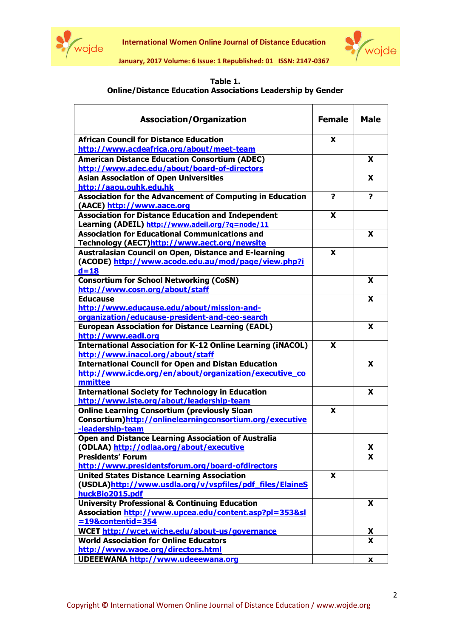

**International Women Online Journal of Distance Education**



**January, 2017 Volume: 6 Issue: 1 Republished: 01 ISSN: 2147-0367**

## **Table 1. Online/Distance Education Associations Leadership by Gender**

| <b>Association/Organization</b>                                    | <b>Female</b> | <b>Male</b>   |
|--------------------------------------------------------------------|---------------|---------------|
| <b>African Council for Distance Education</b>                      | X             |               |
| http://www.acdeafrica.org/about/meet-team                          |               |               |
| <b>American Distance Education Consortium (ADEC)</b>               |               | X             |
| http://www.adec.edu/about/board-of-directors                       |               |               |
| <b>Asian Association of Open Universities</b>                      |               | X             |
| http://aaou.ouhk.edu.hk                                            |               |               |
| Association for the Advancement of Computing in Education          | ?             | ?             |
| (AACE) http://www.aace.org                                         |               |               |
| <b>Association for Distance Education and Independent</b>          | X             |               |
| Learning (ADEIL) http://www.adeil.org/?g=node/11                   |               |               |
| <b>Association for Educational Communications and</b>              |               | X             |
| Technology (AECT)http://www.aect.org/newsite                       |               |               |
| <b>Australasian Council on Open, Distance and E-learning</b>       | X             |               |
| (ACODE) http://www.acode.edu.au/mod/page/view.php?i                |               |               |
| $d=18$                                                             |               |               |
| <b>Consortium for School Networking (CoSN)</b>                     |               | X             |
| http://www.cosn.org/about/staff                                    |               |               |
| <b>Educause</b>                                                    |               | X             |
| http://www.educause.edu/about/mission-and-                         |               |               |
| organization/educause-president-and-ceo-search                     |               |               |
| <b>European Association for Distance Learning (EADL)</b>           |               | X             |
| http://www.eadl.org                                                |               |               |
| <b>International Association for K-12 Online Learning (iNACOL)</b> | X             |               |
| http://www.inacol.org/about/staff                                  |               |               |
| <b>International Council for Open and Distan Education</b>         |               | X             |
| http://www.icde.org/en/about/organization/executive_co             |               |               |
| mmittee                                                            |               |               |
| <b>International Society for Technology in Education</b>           |               | X             |
| http://www.iste.org/about/leadership-team                          |               |               |
| <b>Online Learning Consortium (previously Sloan</b>                | X             |               |
| Consortium)http://onlinelearningconsortium.org/executive           |               |               |
| -leadership-team                                                   |               |               |
|                                                                    |               |               |
| <b>Open and Distance Learning Association of Australia</b>         |               |               |
| (ODLAA) http://odlaa.org/about/executive                           |               | <u>X</u><br>X |
| <b>Presidents' Forum</b>                                           |               |               |
| http://www.presidentsforum.org/board-ofdirectors                   |               |               |
| <b>United States Distance Learning Association</b>                 | X             |               |
| (USDLA)http://www.usdla.org/v/vspfiles/pdf files/ElaineS           |               |               |
| huckBio2015.pdf                                                    |               |               |
| <b>University Professional &amp; Continuing Education</b>          |               | X             |
| Association http://www.upcea.edu/content.asp?pl=353&sl             |               |               |
| $= 19$ &contentid=354                                              |               |               |
| WCET http://wcet.wiche.edu/about-us/governance                     |               | X.            |
| <b>World Association for Online Educators</b>                      |               | X             |
| http://www.waoe.org/directors.html                                 |               |               |
| UDEEEWANA http://www.udeeewana.org                                 |               | X             |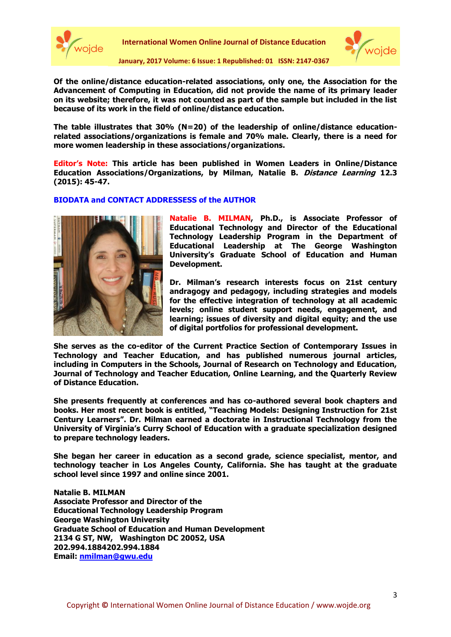

**International Women Online Journal of Distance Education**



**January, 2017 Volume: 6 Issue: 1 Republished: 01 ISSN: 2147-0367**

**Of the online/distance education-related associations, only one, the Association for the Advancement of Computing in Education, did not provide the name of its primary leader on its website; therefore, it was not counted as part of the sample but included in the list because of its work in the field of online/distance education.** 

**The table illustrates that 30% (N=20) of the leadership of online/distance educationrelated associations/organizations is female and 70% male. Clearly, there is a need for more women leadership in these associations/organizations.** 

**Editor's Note: This article has been published in Women Leaders in Online/Distance Education Associations/Organizations, by Milman, Natalie B. Distance Learning 12.3 (2015): 45-47.**

## **BIODATA and CONTACT ADDRESSESS of the AUTHOR**



**Natalie B. MILMAN, Ph.D., is Associate Professor of Educational Technology and Director of the Educational Technology Leadership Program in the Department of Educational Leadership at The George Washington University's Graduate School of Education and Human Development.** 

**Dr. Milman's research interests focus on 21st century andragogy and pedagogy, including strategies and models for the effective integration of technology at all academic levels; online student support needs, engagement, and learning; issues of diversity and digital equity; and the use of digital portfolios for professional development.** 

**She serves as the co-editor of the Current Practice Section of Contemporary Issues in Technology and Teacher Education, and has published numerous journal articles, including in Computers in the Schools, Journal of Research on Technology and Education, Journal of Technology and Teacher Education, Online Learning, and the Quarterly Review of Distance Education.** 

**She presents frequently at conferences and has co-authored several book chapters and books. Her most recent book is entitled, "Teaching Models: Designing Instruction for 21st Century Learners". Dr. Milman earned a doctorate in Instructional Technology from the University of Virginia's Curry School of Education with a graduate specialization designed to prepare technology leaders.** 

**She began her career in education as a second grade, science specialist, mentor, and technology teacher in Los Angeles County, California. She has taught at the graduate school level since 1997 and online since 2001.**

**Natalie B. MILMAN Associate Professor and Director of the Educational Technology Leadership Program George Washington University Graduate School of Education and Human Development 2134 G ST, NW, Washington DC 20052, USA 202.994.1884202.994.1884 Email:<nmilman@gwu.edu>**